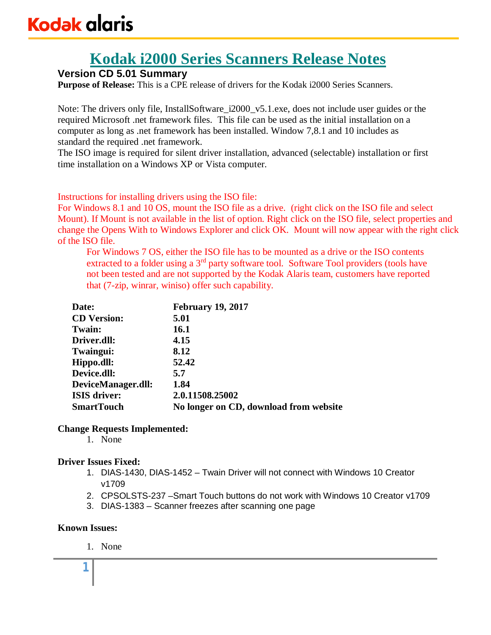# **Kodak i2000 Series Scanners Release Notes**

# **Version CD 5.01 Summary**

**Purpose of Release:** This is a CPE release of drivers for the Kodak i2000 Series Scanners.

Note: The drivers only file, InstallSoftware\_i2000\_v5.1.exe, does not include user guides or the required Microsoft .net framework files. This file can be used as the initial installation on a computer as long as .net framework has been installed. Window 7,8.1 and 10 includes as standard the required .net framework.

The ISO image is required for silent driver installation, advanced (selectable) installation or first time installation on a Windows XP or Vista computer.

Instructions for installing drivers using the ISO file:

For Windows 8.1 and 10 OS, mount the ISO file as a drive. (right click on the ISO file and select Mount). If Mount is not available in the list of option. Right click on the ISO file, select properties and change the Opens With to Windows Explorer and click OK. Mount will now appear with the right click of the ISO file.

For Windows 7 OS, either the ISO file has to be mounted as a drive or the ISO contents extracted to a folder using a  $3<sup>rd</sup>$  party software tool. Software Tool providers (tools have not been tested and are not supported by the Kodak Alaris team, customers have reported that (7-zip, winrar, winiso) offer such capability.

| Date:               | <b>February 19, 2017</b>               |
|---------------------|----------------------------------------|
| <b>CD</b> Version:  | 5.01                                   |
| Twain:              | 16.1                                   |
| Driver.dll:         | 4.15                                   |
| Twaingui:           | 8.12                                   |
| Hippo.dll:          | 52.42                                  |
| Device.dll:         | 5.7                                    |
| DeviceManager.dll:  | 1.84                                   |
| <b>ISIS</b> driver: | 2.0.11508.25002                        |
| <b>SmartTouch</b>   | No longer on CD, download from website |

### **Change Requests Implemented:**

1. None

# **Driver Issues Fixed:**

- 1. DIAS-1430, DIAS-1452 Twain Driver will not connect with Windows 10 Creator v1709
- 2. CPSOLSTS-237 –Smart Touch buttons do not work with Windows 10 Creator v1709
- 3. DIAS-1383 Scanner freezes after scanning one page

### **Known Issues:**

1. None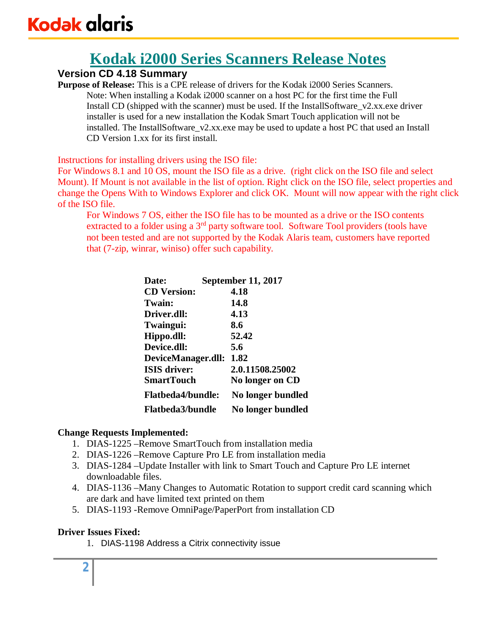# **Kodak i2000 Series Scanners Release Notes**

# **Version CD 4.18 Summary**

**Purpose of Release:** This is a CPE release of drivers for the Kodak i2000 Series Scanners. Note: When installing a Kodak i2000 scanner on a host PC for the first time the Full Install CD (shipped with the scanner) must be used. If the InstallSoftware\_v2.xx.exe driver installer is used for a new installation the Kodak Smart Touch application will not be installed. The InstallSoftware\_v2.xx.exe may be used to update a host PC that used an Install CD Version 1.xx for its first install.

Instructions for installing drivers using the ISO file:

For Windows 8.1 and 10 OS, mount the ISO file as a drive. (right click on the ISO file and select Mount). If Mount is not available in the list of option. Right click on the ISO file, select properties and change the Opens With to Windows Explorer and click OK. Mount will now appear with the right click of the ISO file.

For Windows 7 OS, either the ISO file has to be mounted as a drive or the ISO contents extracted to a folder using a  $3<sup>rd</sup>$  party software tool. Software Tool providers (tools have not been tested and are not supported by the Kodak Alaris team, customers have reported that (7-zip, winrar, winiso) offer such capability.

| 4.18              |                                                                                                      |
|-------------------|------------------------------------------------------------------------------------------------------|
| 14.8              |                                                                                                      |
| 4.13              |                                                                                                      |
| 8.6               |                                                                                                      |
| 52.42             |                                                                                                      |
| 5.6               |                                                                                                      |
|                   |                                                                                                      |
| 2.0.11508.25002   |                                                                                                      |
| No longer on CD   |                                                                                                      |
| No longer bundled |                                                                                                      |
| No longer bundled |                                                                                                      |
|                   | <b>September 11, 2017</b><br>DeviceManager.dll: 1.82<br><b>Flatbeda4/bundle:</b><br>Flatbeda3/bundle |

# **Change Requests Implemented:**

- 1. DIAS-1225 –Remove SmartTouch from installation media
- 2. DIAS-1226 –Remove Capture Pro LE from installation media
- 3. DIAS-1284 –Update Installer with link to Smart Touch and Capture Pro LE internet downloadable files.
- 4. DIAS-1136 –Many Changes to Automatic Rotation to support credit card scanning which are dark and have limited text printed on them
- 5. DIAS-1193 -Remove OmniPage/PaperPort from installation CD

# **Driver Issues Fixed:**

1. DIAS-1198 Address a Citrix connectivity issue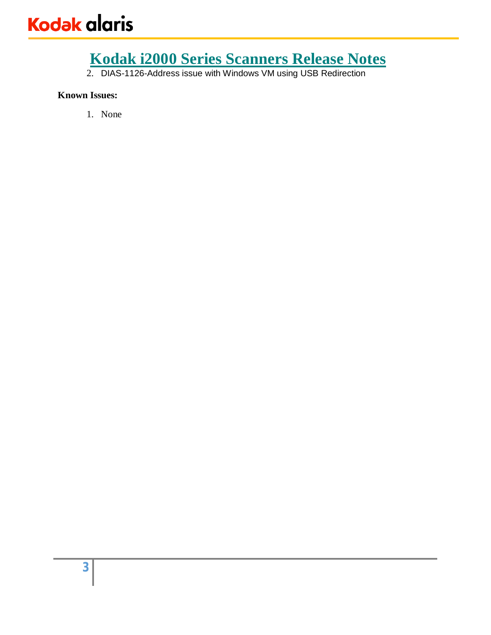2. DIAS-1126-Address issue with Windows VM using USB Redirection

# **Known Issues:**

1. None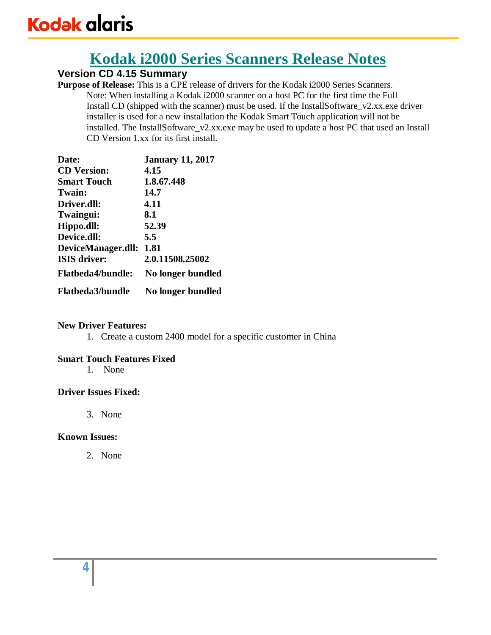# **Kodak i2000 Series Scanners Release Notes**

# **Version CD 4.15 Summary**

**Purpose of Release:** This is a CPE release of drivers for the Kodak i2000 Series Scanners. Note: When installing a Kodak i2000 scanner on a host PC for the first time the Full Install CD (shipped with the scanner) must be used. If the InstallSoftware\_v2.xx.exe driver installer is used for a new installation the Kodak Smart Touch application will not be installed. The InstallSoftware\_v2.xx.exe may be used to update a host PC that used an Install CD Version 1.xx for its first install.

| Date:                    | <b>January 11, 2017</b> |
|--------------------------|-------------------------|
| <b>CD</b> Version:       | 4.15                    |
| <b>Smart Touch</b>       | 1.8.67.448              |
| Twain:                   | 14.7                    |
| Driver.dll:              | 4.11                    |
| Twaingui:                | 8.1                     |
| Hippo.dll:               | 52.39                   |
| Device.dll:              | 5.5                     |
| DeviceManager.dll:       | 1.81                    |
| <b>ISIS driver:</b>      | 2.0.11508.25002         |
| <b>Flatbeda4/bundle:</b> | No longer bundled       |
| <b>Flatbeda3/bundle</b>  | No longer bundled       |

### **New Driver Features:**

1. Create a custom 2400 model for a specific customer in China

# **Smart Touch Features Fixed**

1. None

# **Driver Issues Fixed:**

3. None

### **Known Issues:**

2. None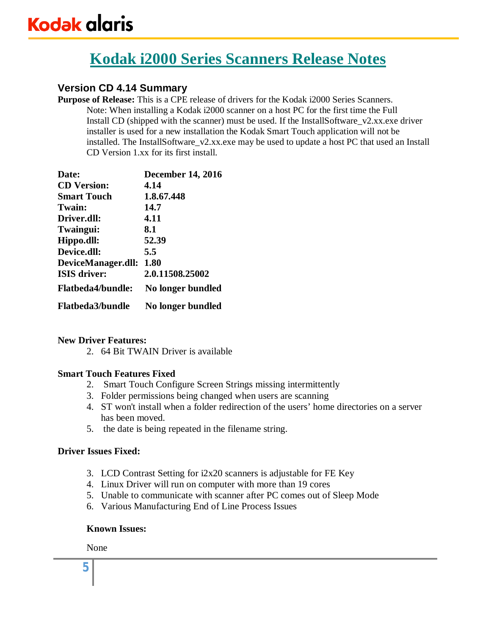# **Version CD 4.14 Summary**

**Purpose of Release:** This is a CPE release of drivers for the Kodak i2000 Series Scanners. Note: When installing a Kodak i2000 scanner on a host PC for the first time the Full Install CD (shipped with the scanner) must be used. If the InstallSoftware\_v2.xx.exe driver installer is used for a new installation the Kodak Smart Touch application will not be installed. The InstallSoftware\_v2.xx.exe may be used to update a host PC that used an Install CD Version 1.xx for its first install.

| Date:                    | <b>December 14, 2016</b> |
|--------------------------|--------------------------|
| <b>CD</b> Version:       | 4.14                     |
| <b>Smart Touch</b>       | 1.8.67.448               |
| Twain:                   | 14.7                     |
| Driver.dll:              | 4.11                     |
| Twaingui:                | 8.1                      |
| Hippo.dll:               | 52.39                    |
| Device.dll:              | 5.5                      |
| DeviceManager.dll:       | 1.80                     |
| <b>ISIS driver:</b>      | 2.0.11508.25002          |
| <b>Flatbeda4/bundle:</b> | No longer bundled        |
| <b>Flatbeda3/bundle</b>  | No longer bundled        |

# **New Driver Features:**

2. 64 Bit TWAIN Driver is available

### **Smart Touch Features Fixed**

- 2. Smart Touch Configure Screen Strings missing intermittently
- 3. Folder permissions being changed when users are scanning
- 4. ST won't install when a folder redirection of the users' home directories on a server has been moved.
- 5. the date is being repeated in the filename string.

### **Driver Issues Fixed:**

- 3. LCD Contrast Setting for i2x20 scanners is adjustable for FE Key
- 4. Linux Driver will run on computer with more than 19 cores
- 5. Unable to communicate with scanner after PC comes out of Sleep Mode
- 6. Various Manufacturing End of Line Process Issues

### **Known Issues:**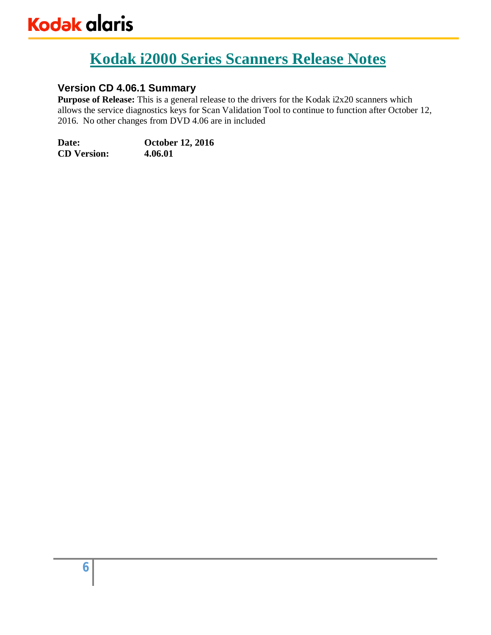# **Version CD 4.06.1 Summary**

**Purpose of Release:** This is a general release to the drivers for the Kodak i2x20 scanners which allows the service diagnostics keys for Scan Validation Tool to continue to function after October 12, 2016. No other changes from DVD 4.06 are in included

**Date: October 12, 2016 CD Version: 4.06.01**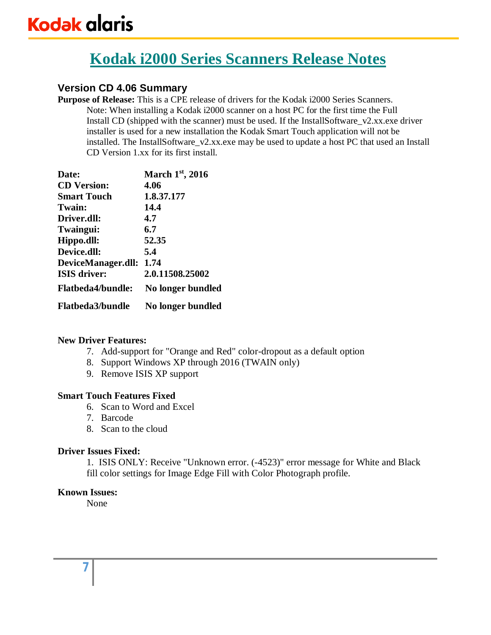# **Version CD 4.06 Summary**

**Purpose of Release:** This is a CPE release of drivers for the Kodak i2000 Series Scanners. Note: When installing a Kodak i2000 scanner on a host PC for the first time the Full Install CD (shipped with the scanner) must be used. If the InstallSoftware\_v2.xx.exe driver installer is used for a new installation the Kodak Smart Touch application will not be installed. The InstallSoftware\_v2.xx.exe may be used to update a host PC that used an Install CD Version 1.xx for its first install.

| Date:                    | March 1st, 2016   |
|--------------------------|-------------------|
| <b>CD</b> Version:       | 4.06              |
| <b>Smart Touch</b>       | 1.8.37.177        |
| Twain:                   | 14.4              |
| Driver.dll:              | 4.7               |
| Twaingui:                | 6.7               |
| Hippo.dll:               | 52.35             |
| Device.dll:              | 5.4               |
| DeviceManager.dll:       | 1.74              |
| <b>ISIS</b> driver:      | 2.0.11508.25002   |
| <b>Flatbeda4/bundle:</b> | No longer bundled |
| <b>Flatbeda3/bundle</b>  | No longer bundled |

### **New Driver Features:**

- 7. Add-support for "Orange and Red" color-dropout as a default option
- 8. Support Windows XP through 2016 (TWAIN only)
- 9. Remove ISIS XP support

### **Smart Touch Features Fixed**

- 6. Scan to Word and Excel
- 7. Barcode
- 8. Scan to the cloud

### **Driver Issues Fixed:**

1. ISIS ONLY: Receive "Unknown error. (-4523)" error message for White and Black fill color settings for Image Edge Fill with Color Photograph profile.

### **Known Issues:**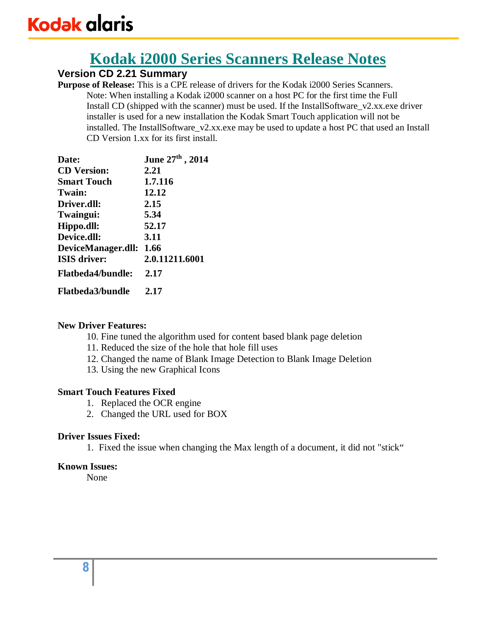# **Version CD 2.21 Summary**

**Purpose of Release:** This is a CPE release of drivers for the Kodak i2000 Series Scanners. Note: When installing a Kodak i2000 scanner on a host PC for the first time the Full Install CD (shipped with the scanner) must be used. If the InstallSoftware\_v2.xx.exe driver installer is used for a new installation the Kodak Smart Touch application will not be installed. The InstallSoftware\_v2.xx.exe may be used to update a host PC that used an Install CD Version 1.xx for its first install.

| Date:                    | June 27th, 2014 |
|--------------------------|-----------------|
| <b>CD</b> Version:       | 2.21            |
| <b>Smart Touch</b>       | 1.7.116         |
| Twain:                   | 12.12           |
| Driver.dll:              | 2.15            |
| Twaingui:                | 5.34            |
| Hippo.dll:               | 52.17           |
| Device.dll:              | 3.11            |
| DeviceManager.dll:       | 1.66            |
| <b>ISIS</b> driver:      | 2.0.11211.6001  |
| <b>Flatheda4/bundle:</b> | 2.17            |
| <b>Flatbeda3/bundle</b>  | 2.17            |

### **New Driver Features:**

- 10. Fine tuned the algorithm used for content based blank page deletion
- 11. Reduced the size of the hole that hole fill uses
- 12. Changed the name of Blank Image Detection to Blank Image Deletion
- 13. Using the new Graphical Icons

### **Smart Touch Features Fixed**

- 1. Replaced the OCR engine
- 2. Changed the URL used for BOX

# **Driver Issues Fixed:**

1. Fixed the issue when changing the Max length of a document, it did not "stick"

### **Known Issues:**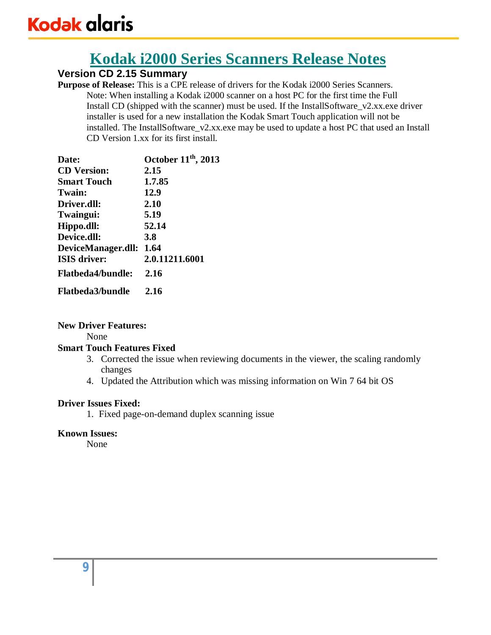# **Kodak i2000 Series Scanners Release Notes**

# **Version CD 2.15 Summary**

**Purpose of Release:** This is a CPE release of drivers for the Kodak i2000 Series Scanners. Note: When installing a Kodak i2000 scanner on a host PC for the first time the Full Install CD (shipped with the scanner) must be used. If the InstallSoftware\_v2.xx.exe driver installer is used for a new installation the Kodak Smart Touch application will not be installed. The InstallSoftware\_v2.xx.exe may be used to update a host PC that used an Install CD Version 1.xx for its first install.

| Date:                    | October 11 <sup>th</sup> , 2013 |
|--------------------------|---------------------------------|
| <b>CD</b> Version:       | 2.15                            |
| <b>Smart Touch</b>       | 1.7.85                          |
| Twain:                   | 12.9                            |
| Driver.dll:              | 2.10                            |
| Twaingui:                | 5.19                            |
| Hippo.dll:               | 52.14                           |
| Device.dll:              | <b>3.8</b>                      |
| DeviceManager.dll: 1.64  |                                 |
| <b>ISIS</b> driver:      | 2.0.11211.6001                  |
| <b>Flatbeda4/bundle:</b> | 2.16                            |
| <b>Flatbeda3/bundle</b>  | 2.16                            |

### **New Driver Features:**

None

# **Smart Touch Features Fixed**

- 3. Corrected the issue when reviewing documents in the viewer, the scaling randomly changes
- 4. Updated the Attribution which was missing information on Win 7 64 bit OS

### **Driver Issues Fixed:**

1. Fixed page-on-demand duplex scanning issue

# **Known Issues:**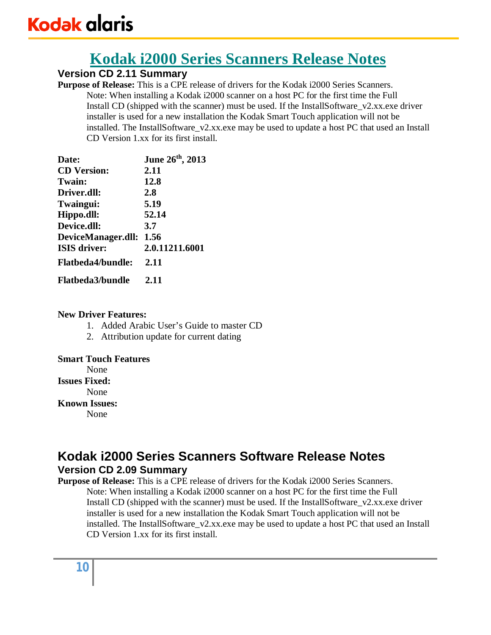# **Version CD 2.11 Summary**

**Purpose of Release:** This is a CPE release of drivers for the Kodak i2000 Series Scanners. Note: When installing a Kodak i2000 scanner on a host PC for the first time the Full Install CD (shipped with the scanner) must be used. If the InstallSoftware\_v2.xx.exe driver installer is used for a new installation the Kodak Smart Touch application will not be installed. The InstallSoftware\_v2.xx.exe may be used to update a host PC that used an Install CD Version 1.xx for its first install.

| Date:                    | June 26th, 2013 |
|--------------------------|-----------------|
| <b>CD</b> Version:       | 2.11            |
| Twain:                   | 12.8            |
| Driver.dll:              | 2.8             |
| Twaingui:                | 5.19            |
| Hippo.dll:               | 52.14           |
| Device.dll:              | 3.7             |
| DeviceManager.dll:       | 1.56            |
| <b>ISIS</b> driver:      | 2.0.11211.6001  |
| <b>Flatbeda4/bundle:</b> | 2.11            |
| <b>Flatheda3/bundle</b>  | 2.11            |

### **New Driver Features:**

- 1. Added Arabic User's Guide to master CD
- 2. Attribution update for current dating

### **Smart Touch Features**

None

**Issues Fixed:**

None

**Known Issues:** 

None

# **Kodak i2000 Series Scanners Software Release Notes Version CD 2.09 Summary**

**Purpose of Release:** This is a CPE release of drivers for the Kodak i2000 Series Scanners. Note: When installing a Kodak i2000 scanner on a host PC for the first time the Full Install CD (shipped with the scanner) must be used. If the InstallSoftware\_v2.xx.exe driver installer is used for a new installation the Kodak Smart Touch application will not be installed. The InstallSoftware\_v2.xx.exe may be used to update a host PC that used an Install CD Version 1.xx for its first install.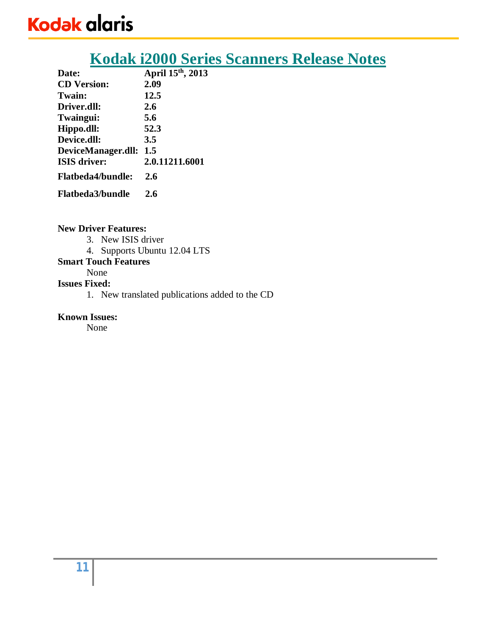# **Kodak i2000 Series Scanners Release Notes**

| Date:                    | April 15 <sup>th</sup> , 2013 |
|--------------------------|-------------------------------|
| <b>CD</b> Version:       | 2.09                          |
| Twain:                   | 12.5                          |
| Driver.dll:              | 2.6                           |
| Twaingui:                | 5.6                           |
| Hippo.dll:               | 52.3                          |
| Device.dll:              | 3.5                           |
| DeviceManager.dll:       | 1.5                           |
| <b>ISIS</b> driver:      | 2.0.11211.6001                |
| <b>Flatbeda4/bundle:</b> | 2.6                           |
| <b>Flatbeda3/bundle</b>  | 2.6                           |

#### **New Driver Features:**

- 3. New ISIS driver
- 4. Supports Ubuntu 12.04 LTS

# **Smart Touch Features**

# None

# **Issues Fixed:**

1. New translated publications added to the CD

## **Known Issues:**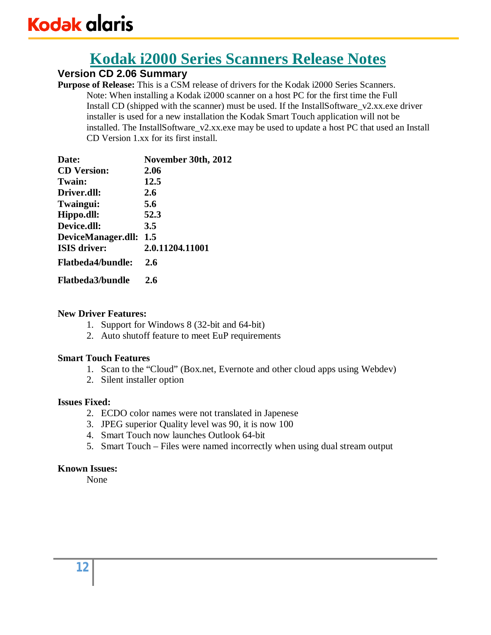# **Kodak i2000 Series Scanners Release Notes**

# **Version CD 2.06 Summary**

**Purpose of Release:** This is a CSM release of drivers for the Kodak i2000 Series Scanners. Note: When installing a Kodak i2000 scanner on a host PC for the first time the Full Install CD (shipped with the scanner) must be used. If the InstallSoftware\_v2.xx.exe driver installer is used for a new installation the Kodak Smart Touch application will not be installed. The InstallSoftware\_v2.xx.exe may be used to update a host PC that used an Install CD Version 1.xx for its first install.

| Date:                    | November 30th, 2012 |
|--------------------------|---------------------|
| <b>CD</b> Version:       | 2.06                |
| Twain:                   | 12.5                |
| Driver.dll:              | 2.6                 |
| Twaingui:                | 5.6                 |
| Hippo.dll:               | 52.3                |
| Device.dll:              | 3.5                 |
| DeviceManager.dll: 1.5   |                     |
| <b>ISIS</b> driver:      | 2.0.11204.11001     |
| <b>Flatbeda4/bundle:</b> | 2.6                 |
| <b>Flatbeda3/bundle</b>  | 2.6                 |

### **New Driver Features:**

- 1. Support for Windows 8 (32-bit and 64-bit)
- 2. Auto shutoff feature to meet EuP requirements

### **Smart Touch Features**

- 1. Scan to the "Cloud" (Box.net, Evernote and other cloud apps using Webdev)
- 2. Silent installer option

### **Issues Fixed:**

- 2. ECDO color names were not translated in Japenese
- 3. JPEG superior Quality level was 90, it is now 100
- 4. Smart Touch now launches Outlook 64-bit
- 5. Smart Touch Files were named incorrectly when using dual stream output

# **Known Issues:**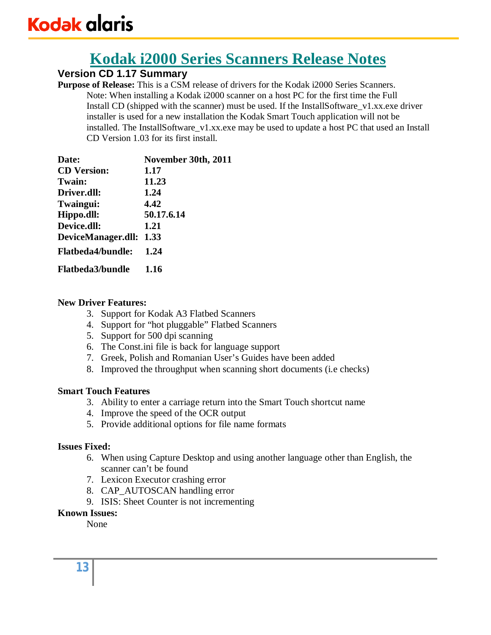# **Kodak i2000 Series Scanners Release Notes**

# **Version CD 1.17 Summary**

**Purpose of Release:** This is a CSM release of drivers for the Kodak i2000 Series Scanners. Note: When installing a Kodak i2000 scanner on a host PC for the first time the Full Install CD (shipped with the scanner) must be used. If the InstallSoftware\_v1.xx.exe driver installer is used for a new installation the Kodak Smart Touch application will not be installed. The InstallSoftware\_v1.xx.exe may be used to update a host PC that used an Install CD Version 1.03 for its first install.

| Date:                    | November 30th, 2011 |
|--------------------------|---------------------|
| <b>CD</b> Version:       | 1.17                |
| Twain:                   | 11.23               |
| Driver.dll:              | 1.24                |
| Twaingui:                | 4.42                |
| Hippo.dll:               | 50.17.6.14          |
| Device.dll:              | 1.21                |
| DeviceManager.dll: 1.33  |                     |
| <b>Flatbeda4/bundle:</b> | 1.24                |
| <b>Flatbeda3/bundle</b>  | 1.16                |

### **New Driver Features:**

- 3. Support for Kodak A3 Flatbed Scanners
- 4. Support for "hot pluggable" Flatbed Scanners
- 5. Support for 500 dpi scanning
- 6. The Const.ini file is back for language support
- 7. Greek, Polish and Romanian User's Guides have been added
- 8. Improved the throughput when scanning short documents (i.e checks)

### **Smart Touch Features**

- 3. Ability to enter a carriage return into the Smart Touch shortcut name
- 4. Improve the speed of the OCR output
- 5. Provide additional options for file name formats

# **Issues Fixed:**

- 6. When using Capture Desktop and using another language other than English, the scanner can't be found
- 7. Lexicon Executor crashing error
- 8. CAP\_AUTOSCAN handling error
- 9. ISIS: Sheet Counter is not incrementing

# **Known Issues:**